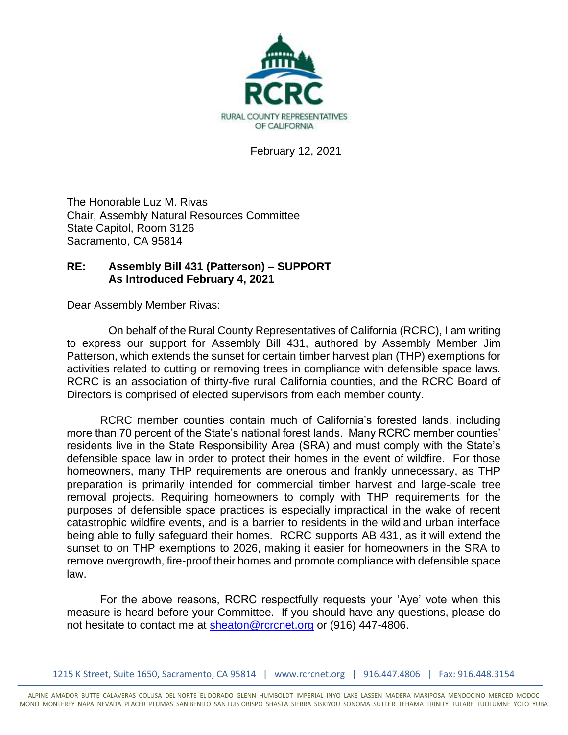

February 12, 2021

The Honorable Luz M. Rivas Chair, Assembly Natural Resources Committee State Capitol, Room 3126 Sacramento, CA 95814

## **RE: Assembly Bill 431 (Patterson) – SUPPORT As Introduced February 4, 2021**

Dear Assembly Member Rivas:

On behalf of the Rural County Representatives of California (RCRC), I am writing to express our support for Assembly Bill 431, authored by Assembly Member Jim Patterson, which extends the sunset for certain timber harvest plan (THP) exemptions for activities related to cutting or removing trees in compliance with defensible space laws. RCRC is an association of thirty-five rural California counties, and the RCRC Board of Directors is comprised of elected supervisors from each member county.

RCRC member counties contain much of California's forested lands, including more than 70 percent of the State's national forest lands. Many RCRC member counties' residents live in the State Responsibility Area (SRA) and must comply with the State's defensible space law in order to protect their homes in the event of wildfire. For those homeowners, many THP requirements are onerous and frankly unnecessary, as THP preparation is primarily intended for commercial timber harvest and large-scale tree removal projects. Requiring homeowners to comply with THP requirements for the purposes of defensible space practices is especially impractical in the wake of recent catastrophic wildfire events, and is a barrier to residents in the wildland urban interface being able to fully safeguard their homes. RCRC supports AB 431, as it will extend the sunset to on THP exemptions to 2026, making it easier for homeowners in the SRA to remove overgrowth, fire-proof their homes and promote compliance with defensible space law.

For the above reasons, RCRC respectfully requests your 'Aye' vote when this measure is heard before your Committee. If you should have any questions, please do not hesitate to contact me at [sheaton@rcrcnet.org](mailto:sheaton@rcrcnet.org) or (916) 447-4806.

1215 K Street, Suite 1650, Sacramento, CA 95814 | www.rcrcnet.org | 916.447.4806 | Fax: 916.448.3154

ALPINE AMADOR BUTTE CALAVERAS COLUSA DEL NORTE EL DORADO GLENN HUMBOLDT IMPERIAL INYO LAKE LASSEN MADERA MARIPOSA MENDOCINO MERCED MODOC MONO MONTEREY NAPA NEVADA PLACER PLUMAS SAN BENITO SAN LUIS OBISPO SHASTA SIERRA SISKIYOU SONOMA SUTTER TEHAMA TRINITY TULARE TUOLUMNE YOLO YUBA